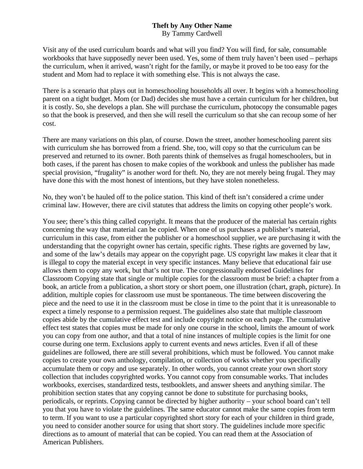## **Theft by Any Other Name**

By Tammy Cardwell

Visit any of the used curriculum boards and what will you find? You will find, for sale, consumable workbooks that have supposedly never been used. Yes, some of them truly haven't been used – perhaps the curriculum, when it arrived, wasn't right for the family, or maybe it proved to be too easy for the student and Mom had to replace it with something else. This is not always the case.

There is a scenario that plays out in homeschooling households all over. It begins with a homeschooling parent on a tight budget. Mom (or Dad) decides she must have a certain curriculum for her children, but it is costly. So, she develops a plan. She will purchase the curriculum, photocopy the consumable pages so that the book is preserved, and then she will resell the curriculum so that she can recoup some of her cost.

There are many variations on this plan, of course. Down the street, another homeschooling parent sits with curriculum she has borrowed from a friend. She, too, will copy so that the curriculum can be preserved and returned to its owner. Both parents think of themselves as frugal homeschoolers, but in both cases, if the parent has chosen to make copies of the workbook and unless the publisher has made special provision, "frugality" is another word for theft. No, they are not merely being frugal. They may have done this with the most honest of intentions, but they have stolen nonetheless.

No, they won't be hauled off to the police station. This kind of theft isn't considered a crime under criminal law. However, there are civil statutes that address the limits on copying other people's work.

You see; there's this thing called copyright. It means that the producer of the material has certain rights concerning the way that material can be copied. When one of us purchases a publisher's material, curriculum in this case, from either the publisher or a homeschool supplier, we are purchasing it with the understanding that the copyright owner has certain, specific rights. These rights are governed by law, and some of the law's details may appear on the copyright page. US copyright law makes it clear that it is illegal to copy the material except in very specific instances. Many believe that educational fair use allows them to copy any work, but that's not true. The congressionally endorsed Guidelines for Classroom Copying state that single or multiple copies for the classroom must be brief: a chapter from a book, an article from a publication, a short story or short poem, one illustration (chart, graph, picture). In addition, multiple copies for classroom use must be spontaneous. The time between discovering the piece and the need to use it in the classroom must be close in time to the point that it is unreasonable to expect a timely response to a permission request. The guidelines also state that multiple classroom copies abide by the cumulative effect test and include copyright notice on each page. The cumulative effect test states that copies must be made for only one course in the school, limits the amount of work you can copy from one author, and that a total of nine instances of multiple copies is the limit for one course during one term. Exclusions apply to current events and news articles. Even if all of these guidelines are followed, there are still several prohibitions, which must be followed. You cannot make copies to create your own anthology, compilation, or collection of works whether you specifically accumulate them or copy and use separately. In other words, you cannot create your own short story collection that includes copyrighted works. You cannot copy from consumable works. That includes workbooks, exercises, standardized tests, testbooklets, and answer sheets and anything similar. The prohibition section states that any copying cannot be done to substitute for purchasing books, periodicals, or reprints. Copying cannot be directed by higher authority – your school board can't tell you that you have to violate the guidelines. The same educator cannot make the same copies from term to term. If you want to use a particular copyrighted short story for each of your children in third grade, you need to consider another source for using that short story. The guidelines include more specific directions as to amount of material that can be copied. You can read them at the Association of American Publishers.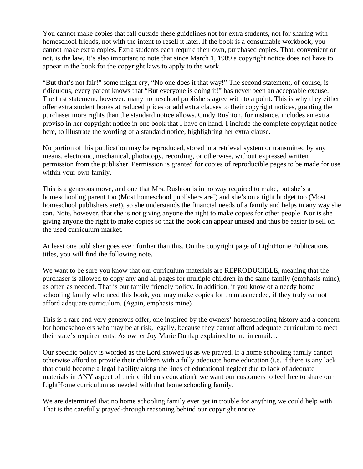You cannot make copies that fall outside these guidelines not for extra students, not for sharing with homeschool friends, not with the intent to resell it later. If the book is a consumable workbook, you cannot make extra copies. Extra students each require their own, purchased copies. That, convenient or not, is the law. It's also important to note that since March 1, 1989 a copyright notice does not have to appear in the book for the copyright laws to apply to the work.

"But that's not fair!" some might cry, "No one does it that way!" The second statement, of course, is ridiculous; every parent knows that "But everyone is doing it!" has never been an acceptable excuse. The first statement, however, many homeschool publishers agree with to a point. This is why they either offer extra student books at reduced prices or add extra clauses to their copyright notices, granting the purchaser more rights than the standard notice allows. Cindy Rushton, for instance, includes an extra proviso in her copyright notice in one book that I have on hand. I include the complete copyright notice here, to illustrate the wording of a standard notice, highlighting her extra clause.

No portion of this publication may be reproduced, stored in a retrieval system or transmitted by any means, electronic, mechanical, photocopy, recording, or otherwise, without expressed written permission from the publisher. Permission is granted for copies of reproducible pages to be made for use within your own family.

This is a generous move, and one that Mrs. Rushton is in no way required to make, but she's a homeschooling parent too (Most homeschool publishers are!) and she's on a tight budget too (Most homeschool publishers are!), so she understands the financial needs of a family and helps in any way she can. Note, however, that she is not giving anyone the right to make copies for other people. Nor is she giving anyone the right to make copies so that the book can appear unused and thus be easier to sell on the used curriculum market.

At least one publisher goes even further than this. On the copyright page of LightHome Publications titles, you will find the following note.

We want to be sure you know that our curriculum materials are REPRODUCIBLE, meaning that the purchaser is allowed to copy any and all pages for multiple children in the same family (emphasis mine), as often as needed. That is our family friendly policy. In addition, if you know of a needy home schooling family who need this book, you may make copies for them as needed, if they truly cannot afford adequate curriculum. (Again, emphasis mine)

This is a rare and very generous offer, one inspired by the owners' homeschooling history and a concern for homeschoolers who may be at risk, legally, because they cannot afford adequate curriculum to meet their state's requirements. As owner Joy Marie Dunlap explained to me in email…

Our specific policy is worded as the Lord showed us as we prayed. If a home schooling family cannot otherwise afford to provide their children with a fully adequate home education (i.e. if there is any lack that could become a legal liability along the lines of educational neglect due to lack of adequate materials in ANY aspect of their children's education), we want our customers to feel free to share our LightHome curriculum as needed with that home schooling family.

We are determined that no home schooling family ever get in trouble for anything we could help with. That is the carefully prayed-through reasoning behind our copyright notice.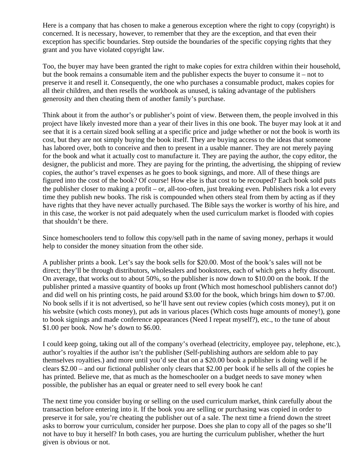Here is a company that has chosen to make a generous exception where the right to copy (copyright) is concerned. It is necessary, however, to remember that they are the exception, and that even their exception has specific boundaries. Step outside the boundaries of the specific copying rights that they grant and you have violated copyright law.

Too, the buyer may have been granted the right to make copies for extra children within their household, but the book remains a consumable item and the publisher expects the buyer to consume it – not to preserve it and resell it. Consequently, the one who purchases a consumable product, makes copies for all their children, and then resells the workbook as unused, is taking advantage of the publishers generosity and then cheating them of another family's purchase.

Think about it from the author's or publisher's point of view. Between them, the people involved in this project have likely invested more than a year of their lives in this one book. The buyer may look at it and see that it is a certain sized book selling at a specific price and judge whether or not the book is worth its cost, but they are not simply buying the book itself. They are buying access to the ideas that someone has labored over, both to conceive and then to present in a usable manner. They are not merely paying for the book and what it actually cost to manufacture it. They are paying the author, the copy editor, the designer, the publicist and more. They are paying for the printing, the advertising, the shipping of review copies, the author's travel expenses as he goes to book signings, and more. All of these things are figured into the cost of the book? Of course! How else is that cost to be recouped? Each book sold puts the publisher closer to making a profit – or, all-too-often, just breaking even. Publishers risk a lot every time they publish new books. The risk is compounded when others steal from them by acting as if they have rights that they have never actually purchased. The Bible says the worker is worthy of his hire, and in this case, the worker is not paid adequately when the used curriculum market is flooded with copies that shouldn't be there.

Since homeschoolers tend to follow this copy/sell path in the name of saving money, perhaps it would help to consider the money situation from the other side.

A publisher prints a book. Let's say the book sells for \$20.00. Most of the book's sales will not be direct; they'll be through distributors, wholesalers and bookstores, each of which gets a hefty discount. On average, that works out to about 50%, so the publisher is now down to \$10.00 on the book. If the publisher printed a massive quantity of books up front (Which most homeschool publishers cannot do!) and did well on his printing costs, he paid around \$3.00 for the book, which brings him down to \$7.00. No book sells if it is not advertised, so he'll have sent out review copies (which costs money), put it on his website (which costs money), put ads in various places (Which costs huge amounts of money!), gone to book signings and made conference appearances (Need I repeat myself?), etc., to the tune of about \$1.00 per book. Now he's down to \$6.00.

I could keep going, taking out all of the company's overhead (electricity, employee pay, telephone, etc.), author's royalties if the author isn't the publisher (Self-publishing authors are seldom able to pay themselves royalties.) and more until you'd see that on a \$20.00 book a publisher is doing well if he clears \$2.00 – and our fictional publisher only clears that \$2.00 per book if he sells all of the copies he has printed. Believe me, that as much as the homeschooler on a budget needs to save money when possible, the publisher has an equal or greater need to sell every book he can!

The next time you consider buying or selling on the used curriculum market, think carefully about the transaction before entering into it. If the book you are selling or purchasing was copied in order to preserve it for sale, you're cheating the publisher out of a sale. The next time a friend down the street asks to borrow your curriculum, consider her purpose. Does she plan to copy all of the pages so she'll not have to buy it herself? In both cases, you are hurting the curriculum publisher, whether the hurt given is obvious or not.